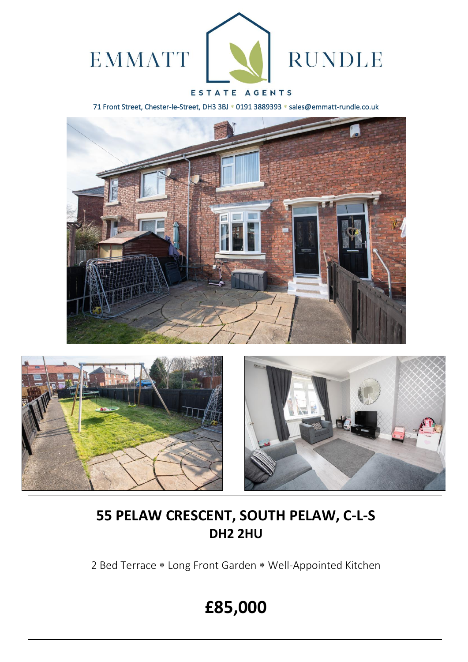

# ESTATE AGENTS

71 Front Street, Chester-le-Street, DH3 3BJ \* 0191 3889393 \* sales@emmatt-rundle.co.uk







# **55 PELAW CRESCENT, SOUTH PELAW, C-L-S DH2 2HU**

2 Bed Terrace \* Long Front Garden \* Well-Appointed Kitchen

# **£85,000**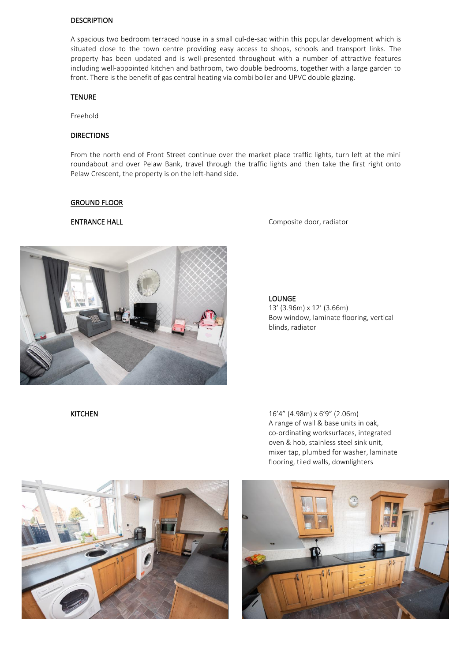### DESCRIPTION

A spacious two bedroom terraced house in a small cul-de-sac within this popular development which is situated close to the town centre providing easy access to shops, schools and transport links. The property has been updated and is well-presented throughout with a number of attractive features including well-appointed kitchen and bathroom, two double bedrooms, together with a large garden to front. There is the benefit of gas central heating via combi boiler and UPVC double glazing.

### TENURE

Freehold

## DIRECTIONS

From the north end of Front Street continue over the market place traffic lights, turn left at the mini roundabout and over Pelaw Bank, travel through the traffic lights and then take the first right onto Pelaw Crescent, the property is on the left-hand side.

### GROUND FLOOR



ENTRANCE HALL **ENTRANCE** HALL **COMPOSITE DESIGNATION** 

## LOUNGE

13' (3.96m) x 12' (3.66m) Bow window, laminate flooring, vertical blinds, radiator

KITCHEN 16'4" (4.98m) x 6'9" (2.06m) A range of wall & base units in oak, co-ordinating worksurfaces, integrated oven & hob, stainless steel sink unit, mixer tap, plumbed for washer, laminate flooring, tiled walls, downlighters



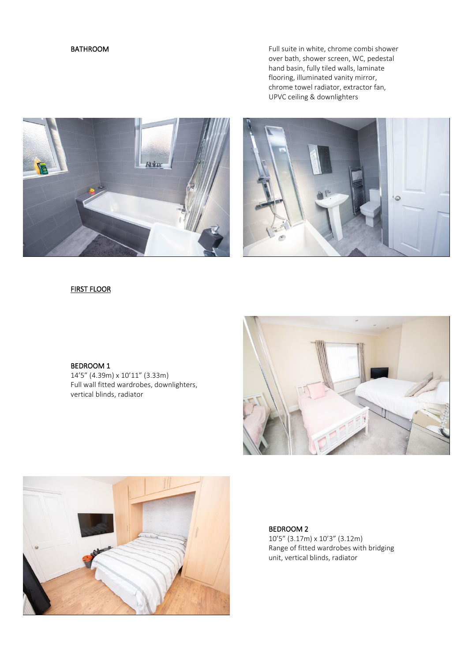BATHROOM **EXECUTE:** Full suite in white, chrome combi shower over bath, shower screen, WC, pedestal hand basin, fully tiled walls, laminate flooring, illuminated vanity mirror, chrome towel radiator, extractor fan, UPVC ceiling & downlighters





# FIRST FLOOR

### BEDROOM 1

14'5" (4.39m) x 10'11" (3.33m) Full wall fitted wardrobes, downlighters, vertical blinds, radiator





BEDROOM 2 10'5" (3.17m) x 10'3" (3.12m) Range of fitted wardrobes with bridging unit, vertical blinds, radiator